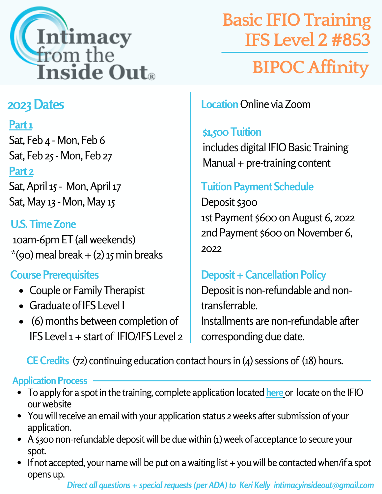

# **BIPOCAffinity Basic IFIO Training IFS Level 2#853**

# **2023Dates**

### **Part1**

Sat, Feb 4 - Mon, Feb 6 Sat, Feb 25- Mon, Feb 27 **Part 2**

Sat, April 15 - Mon, April 17 Sat, May 13 - Mon, May 15

# **U.S.TimeZone**

10am-6pm ET(allweekends)  $*(90)$  meal break + (2) 15 min breaks

## **Course Prerequisites**

- Couple or Family Therapist
- Graduate ofIFS Level I
- (6) months between completion of IFS Level  $1 +$  start of IFIO/IFS Level 2

**Location** Online via Zoom

#### **\$1,500Tuition**

includes digital IFIO Basic Training  $M$ anual + pre-training content

## **TuitionPayment Schedule**

Deposit \$300 1st Payment \$600 on August 6, 2022 2nd Payment \$600 on November 6, 2022

## **Deposit + Cancellation Policy**

Deposit is non-refundable and nontransferrable. Installments are non-refundable after corresponding due date.

**CE Credits** (72) continuing education contact hours in (4) sessions of (18) hours.

#### **Application Process**

- To apply for a spot in the training, complete application located [here](https://docs.google.com/forms/d/e/1FAIpQLSf5aMImlnMFALOV_o0YjiihZNSo1FJjQkkiO9lSX-f6f7p20g/viewform) or locate on the IFIO ourwebsite
- You will receive an email with your application status 2 weeks after submission of your application.
- A \$300 non-refundable deposit will be due within (1) week of acceptance to secure your spot.
- $\bullet$  If not accepted, your name will be put on a waiting list + you will be contacted when/if a spot opens up.

*Direct all questions + special requests (per ADA) to Keri Kelly intimacyinsideout@gmail.com*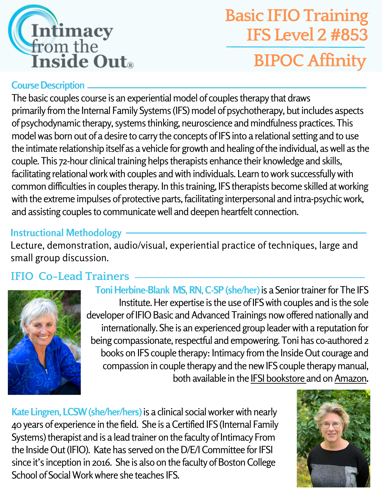

# **Basic IFIO Training IFS Level 2#853 BIPOCAffinity**

#### **Course Description**

The basic couples course is an experiential model of couples therapy that draws primarily from the Internal Family Systems (IFS) model of psychotherapy, but includes aspects of psychodynamic therapy, systems thinking, neuroscience and mindfulness practices.This model was born out of a desire to carry the concepts of IFS into a relational setting and to use the intimate relationship itself as a vehicle for growth and healing of the individual, as well as the couple. This 72-hour clinical training helps therapists enhance their knowledge and skills, facilitating relational work with couples and with individuals. Learn to work successfully with common difficulties in couples therapy. In this training, IFS therapists become skilled atworking with the extreme impulses of protective parts, facilitating interpersonal and intra-psychic work, and assisting couples to communicatewell and deepen heartfelt connection.

#### **Instructional Methodology**

Lecture, demonstration, audio/visual, experiential practice of techniques, large and small group discussion.

### **IFIO Co-Lead Trainers**



Toni Herbine-Blank MS, RN, C-SP (she/her) is a Senior trainer for The IFS Institute. Her expertise is the use of IFS with couples and is the sole developer of IFIO Basic and Advanced Trainings now offered nationally and internationally. She is an experienced group leader with a reputation for being compassionate, respectful and empowering. Toni has co-authored 2 books on IFS couple therapy: Intimacy from the Inside Out courage and compassion in couple therapy and the newIFS couple therapy manual, both available in the **IFSI** [bookstore](https://ifs-institute.com/store/author/33) and on [Amazon](https://www.amazon.com/Books-Toni-Herbine-Blank/s?rh=n%3A283155%2Cp_27%3AToni+Herbine-Blank).

**Kate Lingren, LCSW (she/her/hers) is a clinical social worker with nearly** 40years of experience in the field. She is aCertified IFS (Internal Family Systems) therapist and is a lead trainer on the faculty of Intimacy From the Inside Out (IFIO). Kate has served on the D/E/I Committee for IFSI since it's inception in 2016. She is also on the faculty of Boston College School of SocialWorkwhere she teaches IFS.